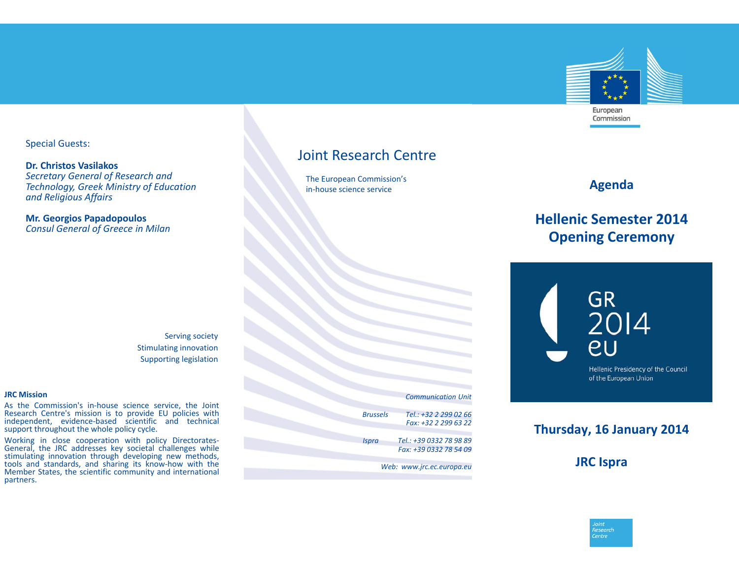

Special Guests:

**Dr. Christos Vasilakos** *Secretary General of Research and Technology, Greek Ministry of Education and Religious Affairs*

**Mr. Georgios Papadopoulos** *Consul General of Greece in Milan*

### Joint Research Centre

The European Commission's in‐house science service

#### **Agenda**

# **Hellenic Semester 2014Opening Ceremony**



## **Thursday, 16 January 2014**

**JRC Ispra**



Serving society Stimulating innovation Supporting legislation

#### **JRC Mission**

As the Commission's in‐house science service, the Joint Research Centre's mission is to provide EU policies with independent, evidence‐based scientific and technical support throughout the whole policy cycle.

Working in close cooperation with policy Directorates‐ General, the JRC addresses key societal challenges while stimulating innovation through developing new methods, tools and standards, and sharing its know-how with the Member States, the scientific community and international partners.

*Communication Unit*  $Brussels$  *+32 2 299 02 66 Fax: +32 2 299 63 22 Ispra Tel.: +39 0332 78 98 89 Fax: +39 0332 78 54 09 Web: www.jrc.ec.europa.eu*